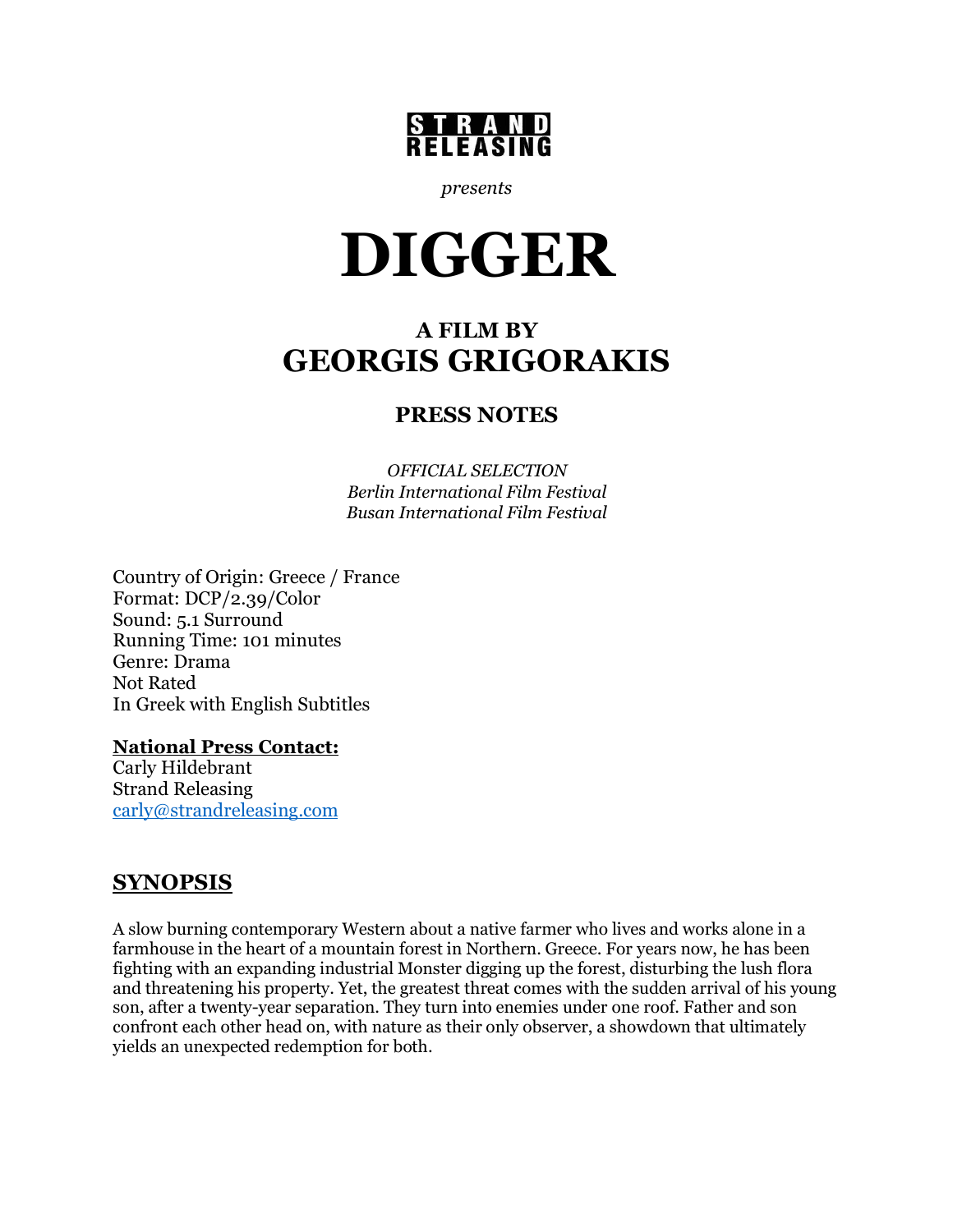

*presents*

# **DIGGER**

# **A FILM BY GEORGIS GRIGORAKIS**

### **PRESS NOTES**

*OFFICIAL SELECTION Berlin International Film Festival Busan International Film Festival*

Country of Origin: Greece / France Format: DCP/2.39/Color Sound: 5.1 Surround Running Time: 101 minutes Genre: Drama Not Rated In Greek with English Subtitles

**National Press Contact:**  Carly Hildebrant Strand Releasing carly@strandreleasing.com

## **SYNOPSIS**

A slow burning contemporary Western about a native farmer who lives and works alone in a farmhouse in the heart of a mountain forest in Northern. Greece. For years now, he has been fighting with an expanding industrial Monster digging up the forest, disturbing the lush flora and threatening his property. Yet, the greatest threat comes with the sudden arrival of his young son, after a twenty-year separation. They turn into enemies under one roof. Father and son confront each other head on, with nature as their only observer, a showdown that ultimately yields an unexpected redemption for both.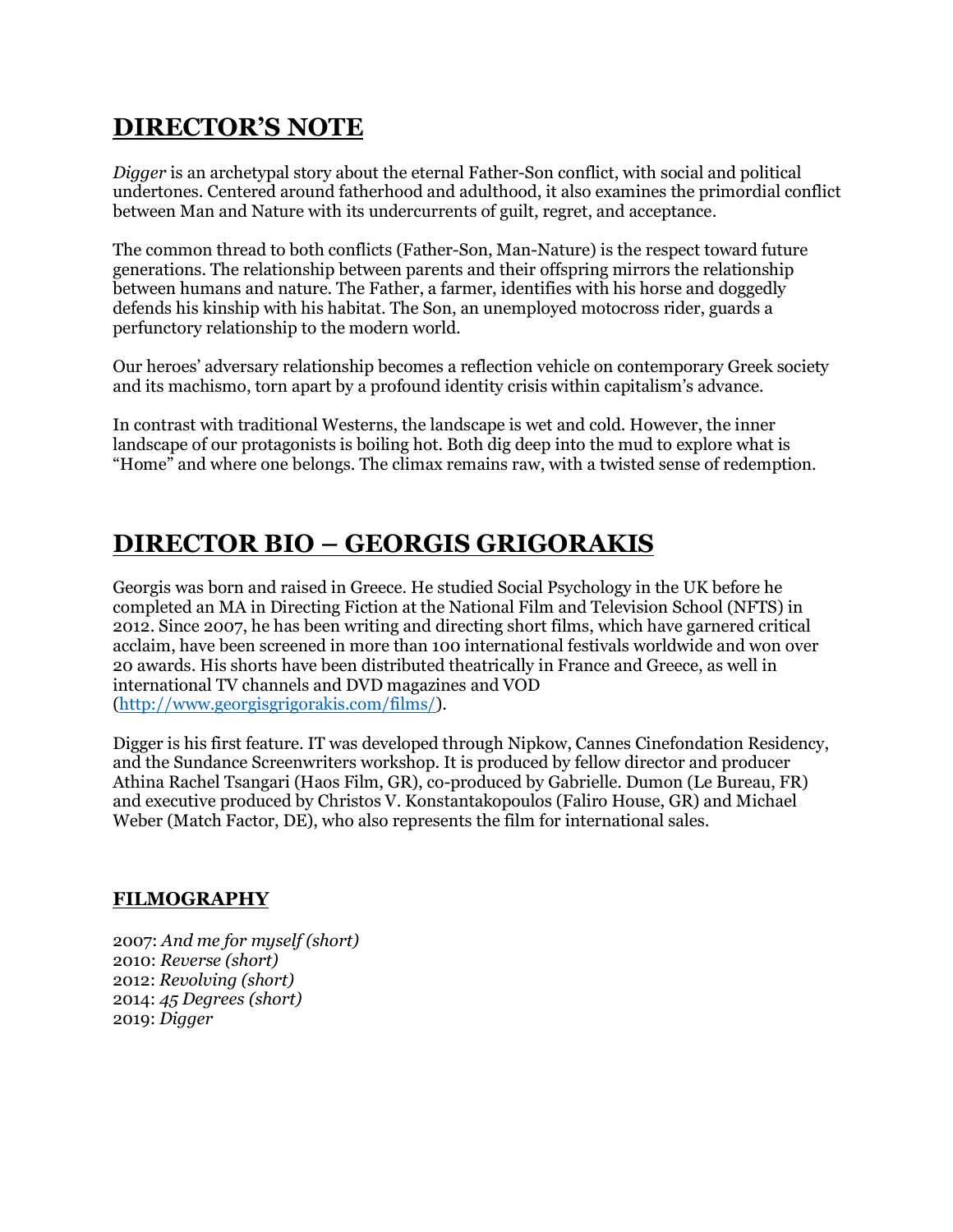# **DIRECTOR'S NOTE**

*Digger* is an archetypal story about the eternal Father-Son conflict, with social and political undertones. Centered around fatherhood and adulthood, it also examines the primordial conflict between Man and Nature with its undercurrents of guilt, regret, and acceptance.

The common thread to both conflicts (Father-Son, Man-Nature) is the respect toward future generations. The relationship between parents and their offspring mirrors the relationship between humans and nature. The Father, a farmer, identifies with his horse and doggedly defends his kinship with his habitat. The Son, an unemployed motocross rider, guards a perfunctory relationship to the modern world.

Our heroes' adversary relationship becomes a reflection vehicle on contemporary Greek society and its machismo, torn apart by a profound identity crisis within capitalism's advance.

In contrast with traditional Westerns, the landscape is wet and cold. However, the inner landscape of our protagonists is boiling hot. Both dig deep into the mud to explore what is "Home" and where one belongs. The climax remains raw, with a twisted sense of redemption.

# **DIRECTOR BIO – GEORGIS GRIGORAKIS**

Georgis was born and raised in Greece. He studied Social Psychology in the UK before he completed an MA in Directing Fiction at the National Film and Television School (NFTS) in 2012. Since 2007, he has been writing and directing short films, which have garnered critical acclaim, have been screened in more than 100 international festivals worldwide and won over 20 awards. His shorts have been distributed theatrically in France and Greece, as well in international TV channels and DVD magazines and VOD (http://www.georgisgrigorakis.com/films/).

Digger is his first feature. IT was developed through Nipkow, Cannes Cinefondation Residency, and the Sundance Screenwriters workshop. It is produced by fellow director and producer Athina Rachel Tsangari (Haos Film, GR), co-produced by Gabrielle. Dumon (Le Bureau, FR) and executive produced by Christos V. Konstantakopoulos (Faliro House, GR) and Michael Weber (Match Factor, DE), who also represents the film for international sales.

#### **FILMOGRAPHY**

2007: *And me for myself (short)* 2010: *Reverse (short)* 2012: *Revolving (short)* 2014: *45 Degrees (short)* 2019: *Digger*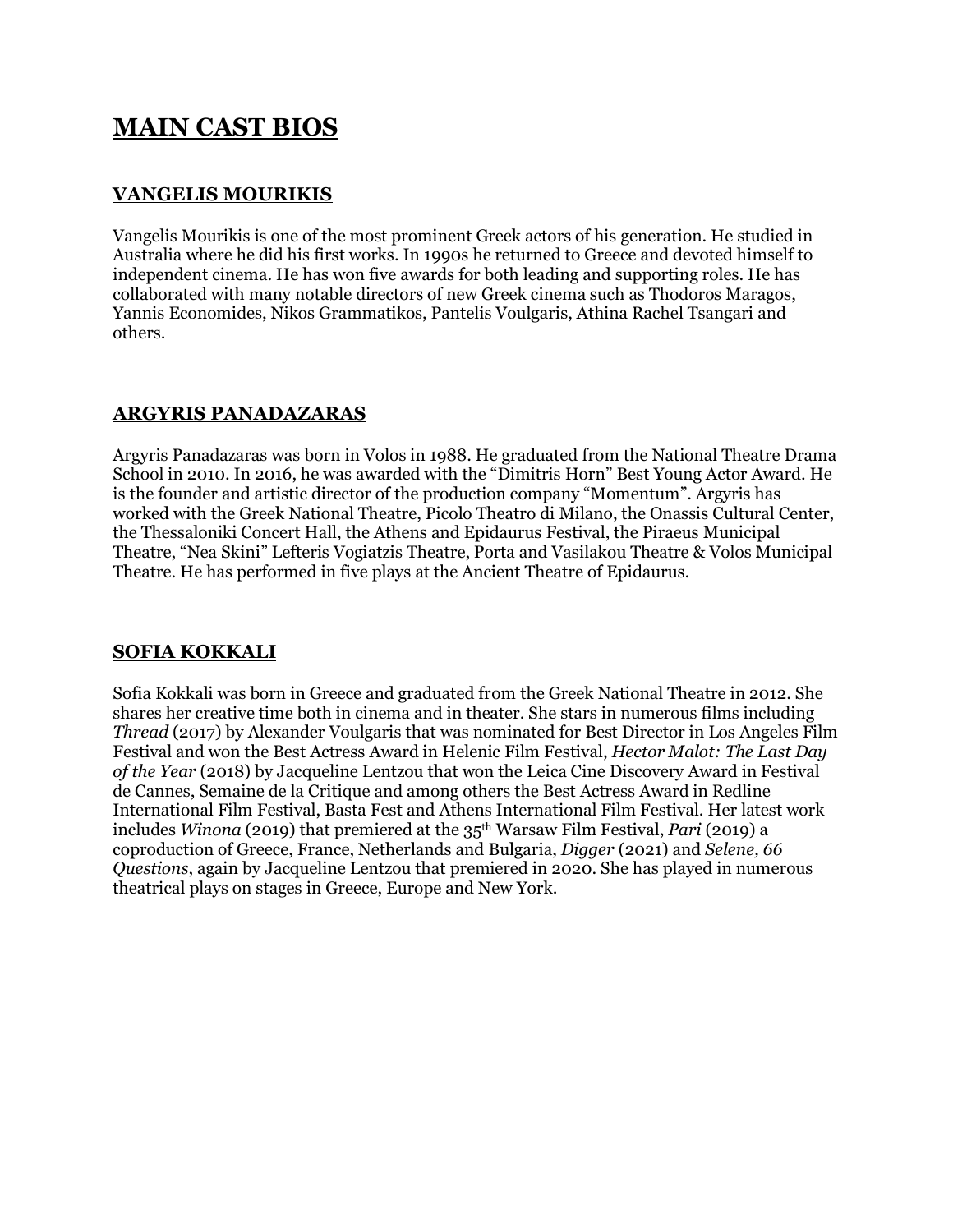# **MAIN CAST BIOS**

#### **VANGELIS MOURIKIS**

Vangelis Mourikis is one of the most prominent Greek actors of his generation. He studied in Australia where he did his first works. In 1990s he returned to Greece and devoted himself to independent cinema. He has won five awards for both leading and supporting roles. He has collaborated with many notable directors of new Greek cinema such as Thodoros Maragos, Yannis Economides, Nikos Grammatikos, Pantelis Voulgaris, Athina Rachel Tsangari and others.

#### **ARGYRIS PANADAZARAS**

Argyris Panadazaras was born in Volos in 1988. He graduated from the National Theatre Drama School in 2010. In 2016, he was awarded with the "Dimitris Horn" Best Young Actor Award. He is the founder and artistic director of the production company "Momentum". Argyris has worked with the Greek National Theatre, Picolo Theatro di Milano, the Onassis Cultural Center, the Thessaloniki Concert Hall, the Athens and Epidaurus Festival, the Piraeus Municipal Theatre, "Nea Skini" Lefteris Vogiatzis Theatre, Porta and Vasilakou Theatre & Volos Municipal Theatre. He has performed in five plays at the Ancient Theatre of Epidaurus.

#### **SOFIA KOKKALI**

Sofia Kokkali was born in Greece and graduated from the Greek National Theatre in 2012. She shares her creative time both in cinema and in theater. She stars in numerous films including *Thread* (2017) by Alexander Voulgaris that was nominated for Best Director in Los Angeles Film Festival and won the Best Actress Award in Helenic Film Festival, *Hector Malot: The Last Day of the Year* (2018) by Jacqueline Lentzou that won the Leica Cine Discovery Award in Festival de Cannes, Semaine de la Critique and among others the Best Actress Award in Redline International Film Festival, Basta Fest and Athens International Film Festival. Her latest work includes *Winona* (2019) that premiered at the 35<sup>th</sup> Warsaw Film Festival, *Pari* (2019) a coproduction of Greece, France, Netherlands and Bulgaria, *Digger* (2021) and *Selene, 66 Questions*, again by Jacqueline Lentzou that premiered in 2020. She has played in numerous theatrical plays on stages in Greece, Europe and New York.